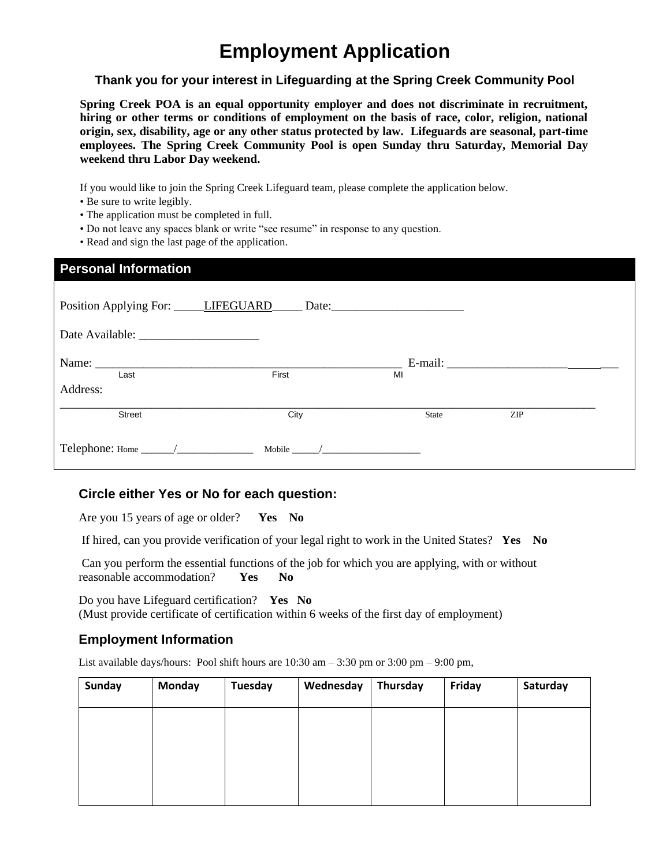# **Employment Application**

### **Thank you for your interest in Lifeguarding at the Spring Creek Community Pool**

**Spring Creek POA is an equal opportunity employer and does not discriminate in recruitment, hiring or other terms or conditions of employment on the basis of race, color, religion, national origin, sex, disability, age or any other status protected by law. Lifeguards are seasonal, part-time employees. The Spring Creek Community Pool is open Sunday thru Saturday, Memorial Day weekend thru Labor Day weekend.**

If you would like to join the Spring Creek Lifeguard team, please complete the application below.

- Be sure to write legibly.
- The application must be completed in full.
- Do not leave any spaces blank or write "see resume" in response to any question.
- Read and sign the last page of the application.

| <b>Personal Information</b>                                                  |                                        |       |            |  |  |  |  |  |  |
|------------------------------------------------------------------------------|----------------------------------------|-------|------------|--|--|--|--|--|--|
|                                                                              | Position Applying For: LIFEGUARD Date: |       |            |  |  |  |  |  |  |
|                                                                              |                                        |       |            |  |  |  |  |  |  |
| Last                                                                         | First                                  | MI    |            |  |  |  |  |  |  |
| Address:                                                                     |                                        |       |            |  |  |  |  |  |  |
| <b>Street</b>                                                                | City                                   | State | <b>ZIP</b> |  |  |  |  |  |  |
| Telephone: Home $\_\_\_\_\_\_\_\_\_\_\_\_\_\_\_\_\_\_\_\_\_\_\_\_\_\_\_\_\_$ | Mobile /                               |       |            |  |  |  |  |  |  |

### **Circle either Yes or No for each question:**

Are you 15 years of age or older? **Yes No**

If hired, can you provide verification of your legal right to work in the United States? **Yes No**

Can you perform the essential functions of the job for which you are applying, with or without reasonable accommodation? **Yes No**

Do you have Lifeguard certification? **Yes No** (Must provide certificate of certification within 6 weeks of the first day of employment)

### **Employment Information**

List available days/hours: Pool shift hours are  $10:30$  am  $-3:30$  pm or  $3:00$  pm  $-9:00$  pm,

| <b>Sunday</b> | <b>Monday</b> | <b>Tuesday</b> | Wednesday | Thursday | Friday | Saturday |
|---------------|---------------|----------------|-----------|----------|--------|----------|
|               |               |                |           |          |        |          |
|               |               |                |           |          |        |          |
|               |               |                |           |          |        |          |
|               |               |                |           |          |        |          |
|               |               |                |           |          |        |          |
|               |               |                |           |          |        |          |